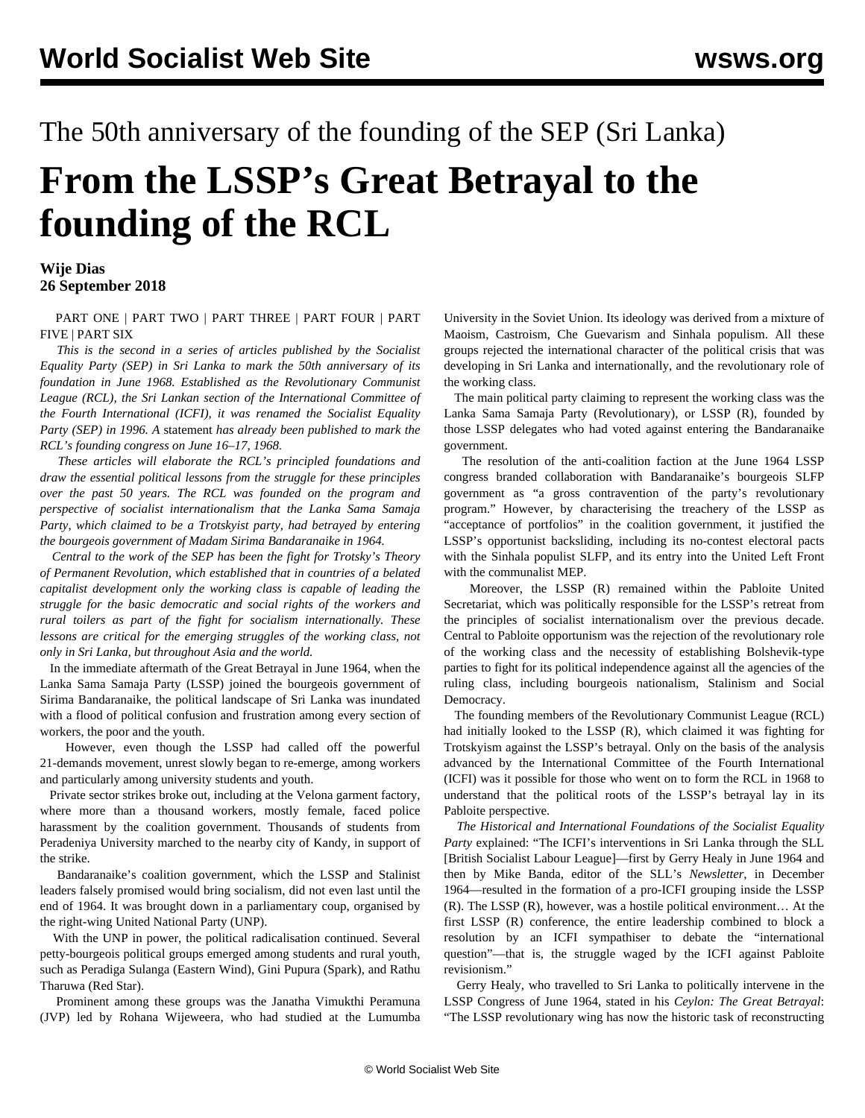## The 50th anniversary of the founding of the SEP (Sri Lanka)

## **From the LSSP's Great Betrayal to the founding of the RCL**

**Wije Dias 26 September 2018**

 [PART ONE](/en/articles/2018/09/24/sri1-s24.html) | [PART TWO](/en/articles/2018/09/26/sri2-s26.html) | [PART THREE](/en/articles/2018/09/28/sri3-s28.html) | [PART FOUR](/en/articles/2018/12/27/aniv-d27.html) | [PART](/en/articles/2018/12/28/sri5-d28.html) [FIVE](/en/articles/2018/12/28/sri5-d28.html) | [PART SIX](/en/articles/2018/12/29/aniv-d29.html)

 *This is the second in a series of articles published by the Socialist Equality Party (SEP) in Sri Lanka to mark the 50th anniversary of its foundation in June 1968. Established as the Revolutionary Communist League (RCL), the Sri Lankan section of the International Committee of the Fourth International (ICFI), it was renamed the Socialist Equality Party (SEP) in 1996. A* [statement](/en/articles/2018/06/16/lank-j16.html) *has already been published to mark the RCL's founding congress on June 16–17, 1968.*

 *These articles will elaborate the RCL's principled foundations and draw the essential political lessons from the struggle for these principles over the past 50 years. The RCL was founded on the program and perspective of socialist internationalism that the Lanka Sama Samaja Party, which claimed to be a Trotskyist party, had betrayed by entering the bourgeois government of Madam Sirima Bandaranaike in 1964.*

 *Central to the work of the SEP has been the fight for Trotsky's Theory of Permanent Revolution, which established that in countries of a belated capitalist development only the working class is capable of leading the struggle for the basic democratic and social rights of the workers and rural toilers as part of the fight for socialism internationally. These lessons are critical for the emerging struggles of the working class, not only in Sri Lanka, but throughout Asia and the world.*

 In the immediate aftermath of the Great Betrayal in June 1964, when the Lanka Sama Samaja Party (LSSP) joined the bourgeois government of Sirima Bandaranaike, the political landscape of Sri Lanka was inundated with a flood of political confusion and frustration among every section of workers, the poor and the youth.

 However, even though the LSSP had called off the powerful 21-demands movement, unrest slowly began to re-emerge, among workers and particularly among university students and youth.

 Private sector strikes broke out, including at the Velona garment factory, where more than a thousand workers, mostly female, faced police harassment by the coalition government. Thousands of students from Peradeniya University marched to the nearby city of Kandy, in support of the strike.

 Bandaranaike's coalition government, which the LSSP and Stalinist leaders falsely promised would bring socialism, did not even last until the end of 1964. It was brought down in a parliamentary coup, organised by the right-wing United National Party (UNP).

 With the UNP in power, the political radicalisation continued. Several petty-bourgeois political groups emerged among students and rural youth, such as Peradiga Sulanga (Eastern Wind), Gini Pupura (Spark), and Rathu Tharuwa (Red Star).

 Prominent among these groups was the Janatha Vimukthi Peramuna (JVP) led by Rohana Wijeweera, who had studied at the Lumumba University in the Soviet Union. Its ideology was derived from a mixture of Maoism, Castroism, Che Guevarism and Sinhala populism. All these groups rejected the international character of the political crisis that was developing in Sri Lanka and internationally, and the revolutionary role of the working class.

 The main political party claiming to represent the working class was the Lanka Sama Samaja Party (Revolutionary), or LSSP (R), founded by those LSSP delegates who had voted against entering the Bandaranaike government.

 The resolution of the anti-coalition faction at the June 1964 LSSP congress branded collaboration with Bandaranaike's bourgeois SLFP government as "a gross contravention of the party's revolutionary program." However, by characterising the treachery of the LSSP as "acceptance of portfolios" in the coalition government, it justified the LSSP's opportunist backsliding, including its no-contest electoral pacts with the Sinhala populist SLFP, and its entry into the United Left Front with the communalist MEP.

 Moreover, the LSSP (R) remained within the Pabloite United Secretariat, which was politically responsible for the LSSP's retreat from the principles of socialist internationalism over the [previous decade](/en/articles/2018/09/24/sri1-s24.html). Central to Pabloite opportunism was the rejection of the revolutionary role of the working class and the necessity of establishing Bolshevik-type parties to fight for its political independence against all the agencies of the ruling class, including bourgeois nationalism, Stalinism and Social Democracy.

 The founding members of the Revolutionary Communist League (RCL) had initially looked to the LSSP (R), which claimed it was fighting for Trotskyism against the LSSP's betrayal. Only on the basis of the analysis advanced by the International Committee of the Fourth International (ICFI) was it possible for those who went on to form the RCL in 1968 to understand that the political roots of the LSSP's betrayal lay in its Pabloite perspective.

 *The Historical and International Foundations of the Socialist Equality Party* explained: "The ICFI's interventions in Sri Lanka through the SLL [British Socialist Labour League]—first by Gerry Healy in June 1964 and then by Mike Banda, editor of the SLL's *Newsletter*, in December 1964—resulted in the formation of a pro-ICFI grouping inside the LSSP (R). The LSSP (R), however, was a hostile political environment… At the first LSSP (R) conference, the entire leadership combined to block a resolution by an ICFI sympathiser to debate the "international question"—that is, the struggle waged by the ICFI against Pabloite revisionism."

 Gerry Healy, who travelled to Sri Lanka to politically intervene in the LSSP Congress of June 1964, stated in his *Ceylon: The Great Betrayal*: "The LSSP revolutionary wing has now the historic task of reconstructing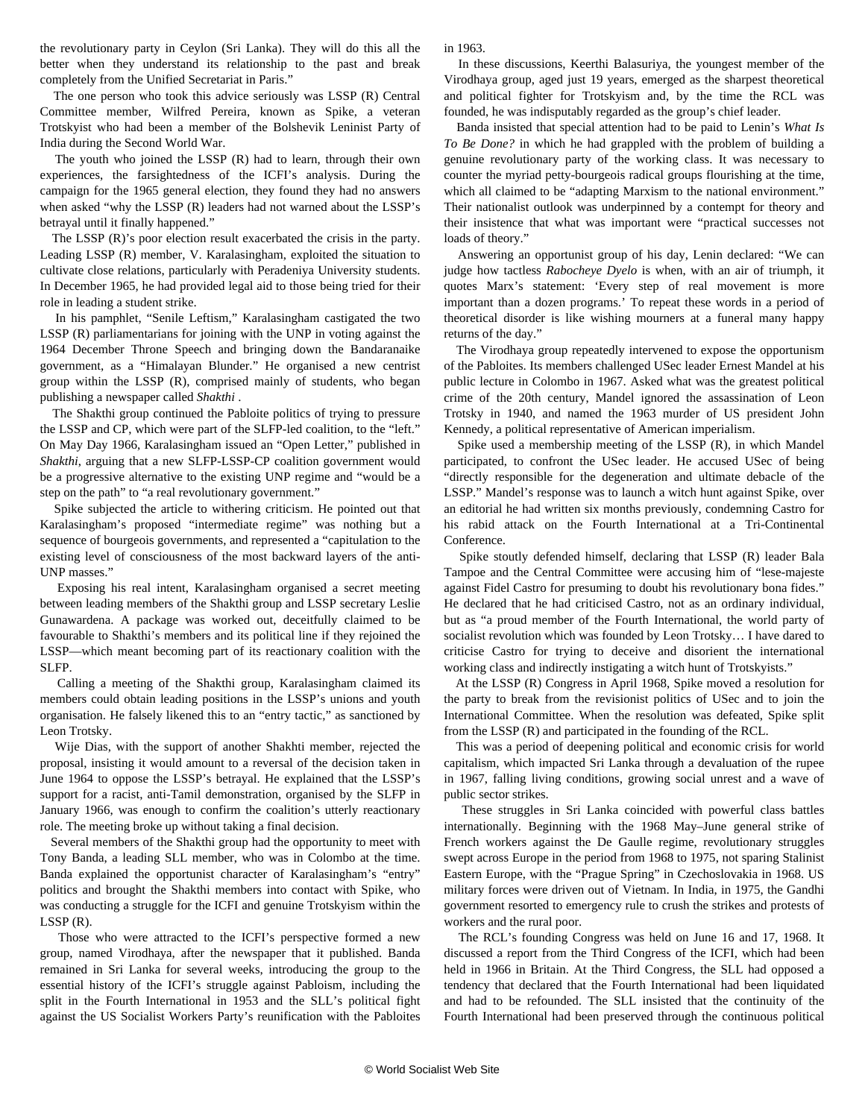the revolutionary party in Ceylon (Sri Lanka). They will do this all the better when they understand its relationship to the past and break completely from the Unified Secretariat in Paris."

 The one person who took this advice seriously was LSSP (R) Central Committee member, Wilfred Pereira, known as Spike, a veteran Trotskyist who had been a member of the Bolshevik Leninist Party of India during the Second World War.

 The youth who joined the LSSP (R) had to learn, through their own experiences, the farsightedness of the ICFI's analysis. During the campaign for the 1965 general election, they found they had no answers when asked "why the LSSP (R) leaders had not warned about the LSSP's betrayal until it finally happened."

 The LSSP (R)'s poor election result exacerbated the crisis in the party. Leading LSSP (R) member, V. Karalasingham, exploited the situation to cultivate close relations, particularly with Peradeniya University students. In December 1965, he had provided legal aid to those being tried for their role in leading a student strike.

 In his pamphlet, "Senile Leftism," Karalasingham castigated the two LSSP (R) parliamentarians for joining with the UNP in voting against the 1964 December Throne Speech and bringing down the Bandaranaike government, as a "Himalayan Blunder." He organised a new centrist group within the LSSP (R), comprised mainly of students, who began publishing a newspaper called *Shakthi* .

 The Shakthi group continued the Pabloite politics of trying to pressure the LSSP and CP, which were part of the SLFP-led coalition, to the "left." On May Day 1966, Karalasingham issued an "Open Letter," published in *Shakthi*, arguing that a new SLFP-LSSP-CP coalition government would be a progressive alternative to the existing UNP regime and "would be a step on the path" to "a real revolutionary government."

 Spike subjected the article to withering criticism. He pointed out that Karalasingham's proposed "intermediate regime" was nothing but a sequence of bourgeois governments, and represented a "capitulation to the existing level of consciousness of the most backward layers of the anti-UNP masses."

 Exposing his real intent, Karalasingham organised a secret meeting between leading members of the Shakthi group and LSSP secretary Leslie Gunawardena. A package was worked out, deceitfully claimed to be favourable to Shakthi's members and its political line if they rejoined the LSSP—which meant becoming part of its reactionary coalition with the SLFP.

 Calling a meeting of the Shakthi group, Karalasingham claimed its members could obtain leading positions in the LSSP's unions and youth organisation. He falsely likened this to an "entry tactic," as sanctioned by Leon Trotsky.

 Wije Dias, with the support of another Shakhti member, rejected the proposal, insisting it would amount to a reversal of the decision taken in June 1964 to oppose the LSSP's betrayal. He explained that the LSSP's support for a racist, anti-Tamil demonstration, organised by the SLFP in January 1966, was enough to confirm the coalition's utterly reactionary role. The meeting broke up without taking a final decision.

 Several members of the Shakthi group had the opportunity to meet with Tony Banda, a leading SLL member, who was in Colombo at the time. Banda explained the opportunist character of Karalasingham's "entry" politics and brought the Shakthi members into contact with Spike, who was conducting a struggle for the ICFI and genuine Trotskyism within the LSSP (R).

 Those who were attracted to the ICFI's perspective formed a new group, named Virodhaya, after the newspaper that it published. Banda remained in Sri Lanka for several weeks, introducing the group to the essential history of the ICFI's struggle against Pabloism, including the split in the Fourth International in 1953 and the SLL's political fight against the US Socialist Workers Party's reunification with the Pabloites

in 1963.

 In these discussions, Keerthi Balasuriya, the youngest member of the Virodhaya group, aged just 19 years, emerged as the sharpest theoretical and political fighter for Trotskyism and, by the time the RCL was founded, he was indisputably regarded as the group's chief leader.

 Banda insisted that special attention had to be paid to Lenin's *What Is To Be Done?* in which he had grappled with the problem of building a genuine revolutionary party of the working class. It was necessary to counter the myriad petty-bourgeois radical groups flourishing at the time, which all claimed to be "adapting Marxism to the national environment." Their nationalist outlook was underpinned by a contempt for theory and their insistence that what was important were "practical successes not loads of theory."

 Answering an opportunist group of his day, Lenin declared: "We can judge how tactless *Rabocheye Dyelo* is when, with an air of triumph, it quotes Marx's statement: 'Every step of real movement is more important than a dozen programs.' To repeat these words in a period of theoretical disorder is like wishing mourners at a funeral many happy returns of the day."

 The Virodhaya group repeatedly intervened to expose the opportunism of the Pabloites. Its members challenged USec leader Ernest Mandel at his public lecture in Colombo in 1967. Asked what was the greatest political crime of the 20th century, Mandel ignored the assassination of Leon Trotsky in 1940, and named the 1963 murder of US president John Kennedy, a political representative of American imperialism.

 Spike used a membership meeting of the LSSP (R), in which Mandel participated, to confront the USec leader. He accused USec of being "directly responsible for the degeneration and ultimate debacle of the LSSP." Mandel's response was to launch a witch hunt against Spike, over an editorial he had written six months previously, condemning Castro for his rabid attack on the Fourth International at a Tri-Continental Conference.

 Spike stoutly defended himself, declaring that LSSP (R) leader Bala Tampoe and the Central Committee were accusing him of "lese-majeste against Fidel Castro for presuming to doubt his revolutionary bona fides." He declared that he had criticised Castro, not as an ordinary individual, but as "a proud member of the Fourth International, the world party of socialist revolution which was founded by Leon Trotsky… I have dared to criticise Castro for trying to deceive and disorient the international working class and indirectly instigating a witch hunt of Trotskyists."

 At the LSSP (R) Congress in April 1968, Spike moved a resolution for the party to break from the revisionist politics of USec and to join the International Committee. When the resolution was defeated, Spike split from the LSSP (R) and participated in the founding of the RCL.

 This was a period of deepening political and economic crisis for world capitalism, which impacted Sri Lanka through a devaluation of the rupee in 1967, falling living conditions, growing social unrest and a wave of public sector strikes.

 These struggles in Sri Lanka coincided with powerful class battles internationally. Beginning with the 1968 May–June general strike of French workers against the De Gaulle regime, revolutionary struggles swept across Europe in the period from 1968 to 1975, not sparing Stalinist Eastern Europe, with the "Prague Spring" in Czechoslovakia in 1968. US military forces were driven out of Vietnam. In India, in 1975, the Gandhi government resorted to emergency rule to crush the strikes and protests of workers and the rural poor.

 The RCL's founding Congress was held on June 16 and 17, 1968. It discussed a report from the Third Congress of the ICFI, which had been held in 1966 in Britain. At the Third Congress, the SLL had opposed a tendency that declared that the Fourth International had been liquidated and had to be refounded. The SLL insisted that the continuity of the Fourth International had been preserved through the continuous political